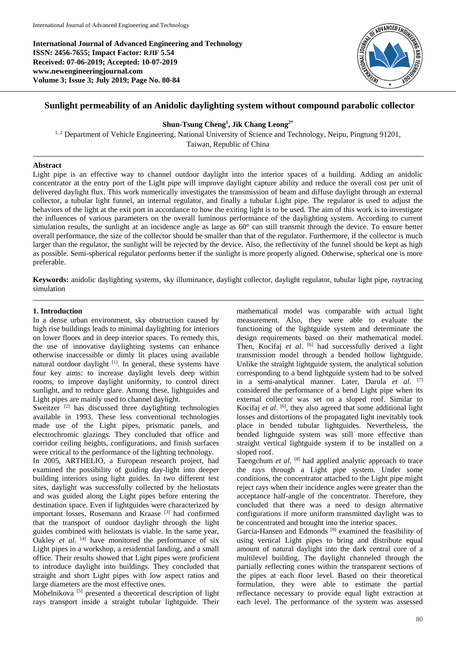**International Journal of Advanced Engineering and Technology ISSN: 2456-7655; Impact Factor: RJIF 5.54 Received: 07-06-2019; Accepted: 10-07-2019 www.newengineeringjournal.com Volume 3; Issue 3; July 2019; Page No. 80-84**



# **Sunlight permeability of an Anidolic daylighting system without compound parabolic collector**

### **Shun-Tsung Cheng<sup>1</sup> , Jik Chang Leong2\***

<sup>1, 2</sup> Department of Vehicle Engineering, National University of Science and Technology, Neipu, Pingtung 91201, Taiwan, Republic of China

# **Abstract**

Light pipe is an effective way to channel outdoor daylight into the interior spaces of a building. Adding an anidolic concentrator at the entry port of the Light pipe will improve daylight capture ability and reduce the overall cost per unit of delivered daylight flux. This work numerically investigates the transmission of beam and diffuse daylight through an external collector, a tubular light funnel, an internal regulator, and finally a tubular Light pipe. The regulator is used to adjust the behaviors of the light at the exit port in accordance to how the exiting light is to be used. The aim of this work is to investigate the influences of various parameters on the overall luminous performance of the daylighting system. According to current simulation results, the sunlight at an incidence angle as large as  $60^{\circ}$  can still transmit through the device. To ensure better overall performance, the size of the collector should be smaller than that of the regulator. Furthermore, if the collector is much larger than the regulator, the sunlight will be rejected by the device. Also, the reflectivity of the funnel should be kept as high as possible. Semi-spherical regulator performs better if the sunlight is more properly aligned. Otherwise, spherical one is more preferable.

**Keywords:** anidolic daylighting systems, sky illuminance, daylight collector, daylight regulator, tubular light pipe, raytracing simulation

### **1. Introduction**

In a dense urban environment, sky obstruction caused by high rise buildings leads to minimal daylighting for interiors on lower floors and in deep interior spaces. To remedy this, the use of innovative daylighting systems can enhance otherwise inaccessible or dimly lit places using available natural outdoor daylight <sup>[1]</sup>. In general, these systems have four key aims: to increase daylight levels deep within rooms, to improve daylight uniformity, to control direct sunlight, and to reduce glare. Among these, lightguides and Light pipes are mainly used to channel daylight.

Sweitzer<sup>[2]</sup> has discussed three daylighting technologies available in 1993. These less conventional technologies made use of the Light pipes, prismatic panels, and electrochromic glazings. They concluded that office and corridor ceiling heights, configurations, and finish surfaces were critical to the performance of the lighting technology.

In 2005, ARTHELIO, a European research project, had examined the possibility of guiding day-light into deeper building interiors using light guides. In two different test sites, daylight was successfully collected by the heliostats and was guided along the Light pipes before entering the destination space. Even if lightguides were characterized by important losses, Rosemann and Kraase [3] had confirmed that the transport of outdoor daylight through the light guides combined with heliostats is viable. In the same year, Oakley *et al.* <sup>[4]</sup> have monitored the performance of six Light pipes in a workshop, a residential landing, and a small office. Their results showed that Light pipes were proficient to introduce daylight into buildings. They concluded that straight and short Light pipes with low aspect ratios and large diameters are the most effective ones.

Mohelnikova<sup>[5]</sup> presented a theoretical description of light rays transport inside a straight tubular lightguide. Their

mathematical model was comparable with actual light measurement. Also, they were able to evaluate the functioning of the lightguide system and determinate the design requirements based on their mathematical model. Then, Kocifaj et al. <sup>[6]</sup> had successfully derived a light transmission model through a bended hollow lightguide. Unlike the straight lightguide system, the analytical solution corresponding to a bend lightguide system had to be solved in a semi-analytical manner. Later, Darula *et al*. [7] considered the performance of a bend Light pipe when its external collector was set on a sloped roof. Similar to Kocifaj *et al*. [6], they also agreed that some additional light losses and distortions of the propagated light inevitably took place in bended tubular lightguides. Nevertheless, the bended lightguide system was still more effective than straight vertical lightguide system if to be installed on a sloped roof.

Taengchum *et al.* <sup>[8]</sup> had applied analytic approach to trace the rays through a Light pipe system. Under some conditions, the concentrator attached to the Light pipe might reject rays when their incidence angles were greater than the acceptance half-angle of the concentrator. Therefore, they concluded that there was a need to design alternative configurations if more uniform transmitted daylight was to be concentrated and brought into the interior spaces.

Garcia-Hansen and Edmonds [9] examined the feasibility of using vertical Light pipes to bring and distribute equal amount of natural daylight into the dark central core of a multilevel building. The daylight channeled through the partially reflecting cones within the transparent sections of the pipes at each floor level. Based on their theoretical formulation, they were able to estimate the partial reflectance necessary to provide equal light extraction at each level. The performance of the system was assessed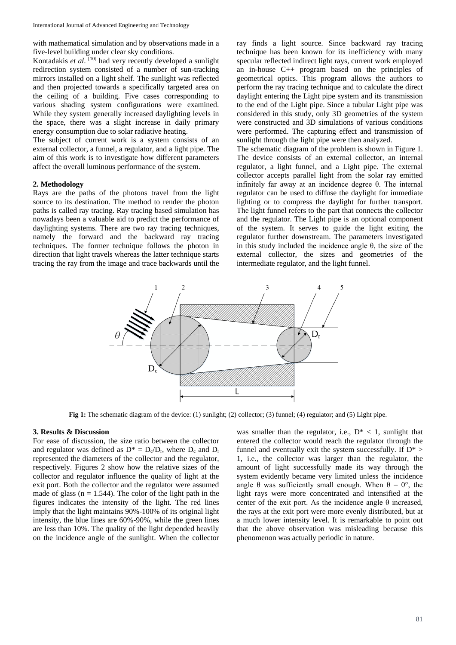with mathematical simulation and by observations made in a five-level building under clear sky conditions.

Kontadakis *et al*. [10] had very recently developed a sunlight redirection system consisted of a number of sun-tracking mirrors installed on a light shelf. The sunlight was reflected and then projected towards a specifically targeted area on the ceiling of a building. Five cases corresponding to various shading system configurations were examined. While they system generally increased daylighting levels in the space, there was a slight increase in daily primary energy consumption due to solar radiative heating.

The subject of current work is a system consists of an external collector, a funnel, a regulator, and a light pipe. The aim of this work is to investigate how different parameters affect the overall luminous performance of the system.

#### **2. Methodology**

Rays are the paths of the photons travel from the light source to its destination. The method to render the photon paths is called ray tracing. Ray tracing based simulation has nowadays been a valuable aid to predict the performance of daylighting systems. There are two ray tracing techniques, namely the forward and the backward ray tracing techniques. The former technique follows the photon in direction that light travels whereas the latter technique starts tracing the ray from the image and trace backwards until the ray finds a light source. Since backward ray tracing technique has been known for its inefficiency with many specular reflected indirect light rays, current work employed an in-house C++ program based on the principles of geometrical optics. This program allows the authors to perform the ray tracing technique and to calculate the direct daylight entering the Light pipe system and its transmission to the end of the Light pipe. Since a tubular Light pipe was considered in this study, only 3D geometries of the system were constructed and 3D simulations of various conditions were performed. The capturing effect and transmission of sunlight through the light pipe were then analyzed.

The schematic diagram of the problem is shown in Figure 1. The device consists of an external collector, an internal regulator, a light funnel, and a Light pipe. The external collector accepts parallel light from the solar ray emitted infinitely far away at an incidence degree θ. The internal regulator can be used to diffuse the daylight for immediate lighting or to compress the daylight for further transport. The light funnel refers to the part that connects the collector and the regulator. The Light pipe is an optional component of the system. It serves to guide the light exiting the regulator further downstream. The parameters investigated in this study included the incidence angle θ, the size of the external collector, the sizes and geometries of the intermediate regulator, and the light funnel.



**Fig 1:** The schematic diagram of the device: (1) sunlight; (2) collector; (3) funnel; (4) regulator; and (5) Light pipe.

### **3. Results & Discussion**

For ease of discussion, the size ratio between the collector and regulator was defined as  $D^* = D_c/D_r$ , where  $D_c$  and  $D_r$ represented the diameters of the collector and the regulator, respectively. Figures 2 show how the relative sizes of the collector and regulator influence the quality of light at the exit port. Both the collector and the regulator were assumed made of glass ( $n = 1.544$ ). The color of the light path in the figures indicates the intensity of the light. The red lines imply that the light maintains 90%-100% of its original light intensity, the blue lines are 60%-90%, while the green lines are less than 10%. The quality of the light depended heavily on the incidence angle of the sunlight. When the collector

was smaller than the regulator, i.e.,  $D^* < 1$ , sunlight that entered the collector would reach the regulator through the funnel and eventually exit the system successfully. If  $D^*$  > 1, i.e., the collector was larger than the regulator, the amount of light successfully made its way through the system evidently became very limited unless the incidence angle  $\theta$  was sufficiently small enough. When  $\theta = 0^{\circ}$ , the light rays were more concentrated and intensified at the center of the exit port. As the incidence angle  $\theta$  increased, the rays at the exit port were more evenly distributed, but at a much lower intensity level. It is remarkable to point out that the above observation was misleading because this phenomenon was actually periodic in nature.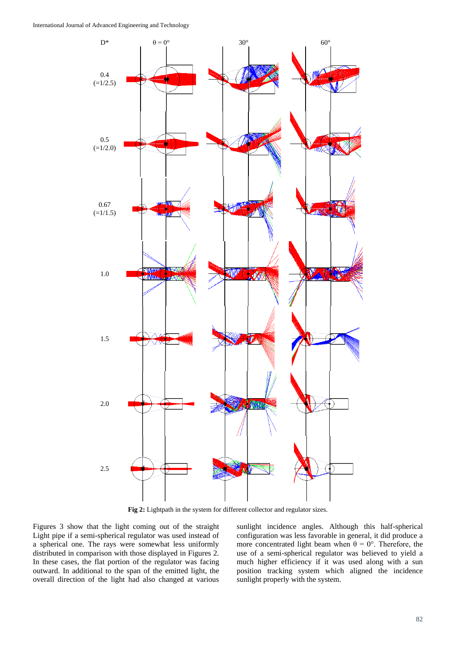

**Fig 2:** Lightpath in the system for different collector and regulator sizes.

Figures 3 show that the light coming out of the straight Light pipe if a semi-spherical regulator was used instead of a spherical one. The rays were somewhat less uniformly distributed in comparison with those displayed in Figures 2. In these cases, the flat portion of the regulator was facing outward. In additional to the span of the emitted light, the overall direction of the light had also changed at various

sunlight incidence angles. Although this half-spherical configuration was less favorable in general, it did produce a more concentrated light beam when  $θ = 0°$ . Therefore, the use of a semi-spherical regulator was believed to yield a much higher efficiency if it was used along with a sun position tracking system which aligned the incidence sunlight properly with the system.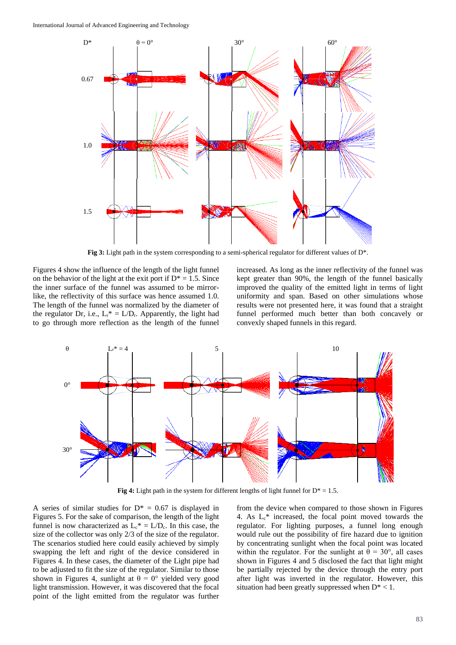

**Fig 3:** Light path in the system corresponding to a semi-spherical regulator for different values of D\*.

Figures 4 show the influence of the length of the light funnel on the behavior of the light at the exit port if  $D^* = 1.5$ . Since the inner surface of the funnel was assumed to be mirrorlike, the reflectivity of this surface was hence assumed 1.0. The length of the funnel was normalized by the diameter of the regulator Dr, i.e.,  $L_r^* = L/D_r$ . Apparently, the light had to go through more reflection as the length of the funnel

increased. As long as the inner reflectivity of the funnel was kept greater than 90%, the length of the funnel basically improved the quality of the emitted light in terms of light uniformity and span. Based on other simulations whose results were not presented here, it was found that a straight funnel performed much better than both concavely or convexly shaped funnels in this regard.



**Fig 4:** Light path in the system for different lengths of light funnel for  $D^* = 1.5$ .

A series of similar studies for  $D^* = 0.67$  is displayed in Figures 5. For the sake of comparison, the length of the light funnel is now characterized as  $L_c^* = L/D_c$ . In this case, the size of the collector was only 2/3 of the size of the regulator. The scenarios studied here could easily achieved by simply swapping the left and right of the device considered in Figures 4. In these cases, the diameter of the Light pipe had to be adjusted to fit the size of the regulator. Similar to those shown in Figures 4, sunlight at  $\theta = 0^{\circ}$  yielded very good light transmission. However, it was discovered that the focal point of the light emitted from the regulator was further

from the device when compared to those shown in Figures 4. As  $L_c^*$  increased, the focal point moved towards the regulator. For lighting purposes, a funnel long enough would rule out the possibility of fire hazard due to ignition by concentrating sunlight when the focal point was located within the regulator. For the sunlight at  $\theta = 30^{\circ}$ , all cases shown in Figures 4 and 5 disclosed the fact that light might be partially rejected by the device through the entry port after light was inverted in the regulator. However, this situation had been greatly suppressed when  $D^* < 1$ .